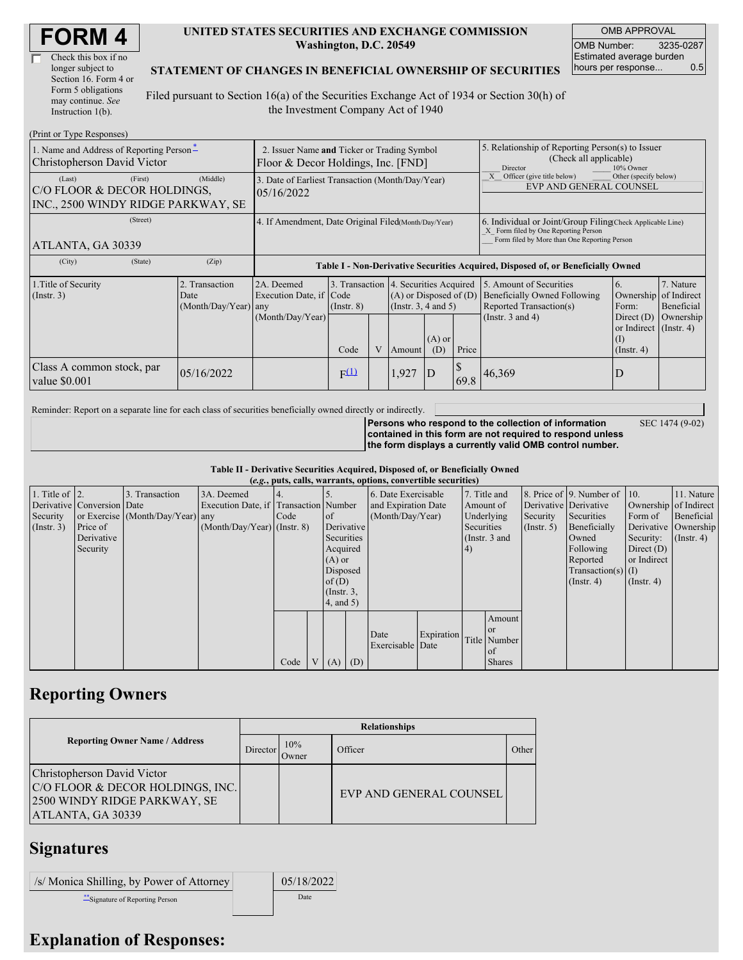| Check this box if no  |
|-----------------------|
| longer subject to     |
| Section 16. Form 4 or |
| Form 5 obligations    |
| may continue. See     |
| Instruction 1(b).     |

## **UNITED STATES SECURITIES AND EXCHANGE COMMISSION Washington, D.C. 20549**

OMB APPROVAL OMB Number: 3235-0287 Estimated average burden hours per response... 0.5

SEC 1474 (9-02)

## **STATEMENT OF CHANGES IN BENEFICIAL OWNERSHIP OF SECURITIES**

Filed pursuant to Section 16(a) of the Securities Exchange Act of 1934 or Section 30(h) of the Investment Company Act of 1940

| (Print or Type Responses)                                                              |                                                                                   |                                                           |                         |                |        |                                                                                                                                                    |                                                                                  |                                                                                                             |                                                                                                                        |                                      |
|----------------------------------------------------------------------------------------|-----------------------------------------------------------------------------------|-----------------------------------------------------------|-------------------------|----------------|--------|----------------------------------------------------------------------------------------------------------------------------------------------------|----------------------------------------------------------------------------------|-------------------------------------------------------------------------------------------------------------|------------------------------------------------------------------------------------------------------------------------|--------------------------------------|
| 1. Name and Address of Reporting Person-<br>Christopherson David Victor                | 2. Issuer Name and Ticker or Trading Symbol<br>Floor & Decor Holdings, Inc. [FND] |                                                           |                         |                |        | 5. Relationship of Reporting Person(s) to Issuer<br>(Check all applicable)<br>Director<br>10% Owner                                                |                                                                                  |                                                                                                             |                                                                                                                        |                                      |
| (Last)<br>(First)<br>C/O FLOOR & DECOR HOLDINGS,<br>INC., 2500 WINDY RIDGE PARKWAY, SE | 3. Date of Earliest Transaction (Month/Day/Year)<br>05/16/2022                    |                                                           |                         |                |        |                                                                                                                                                    | Officer (give title below)<br>Other (specify below)<br>EVP AND GENERAL COUNSEL   |                                                                                                             |                                                                                                                        |                                      |
| (Street)<br>ATLANTA, GA 30339                                                          | 4. If Amendment, Date Original Filed(Month/Day/Year)                              |                                                           |                         |                |        | 6. Individual or Joint/Group Filing(Check Applicable Line)<br>X Form filed by One Reporting Person<br>Form filed by More than One Reporting Person |                                                                                  |                                                                                                             |                                                                                                                        |                                      |
| (City)<br>(State)                                                                      | (Zip)                                                                             |                                                           |                         |                |        |                                                                                                                                                    | Table I - Non-Derivative Securities Acquired, Disposed of, or Beneficially Owned |                                                                                                             |                                                                                                                        |                                      |
| 1. Title of Security<br>(Insert. 3)                                                    | 2. Transaction<br>Date<br>(Month/Day/Year) any                                    | 2A. Deemed<br>Execution Date, if Code<br>(Month/Day/Year) | $($ Instr. $8)$<br>Code | $\overline{V}$ | Amount | 3. Transaction 4. Securities Acquired<br>$(A)$ or Disposed of $(D)$<br>(Instr. $3, 4$ and $5$ )<br>$(A)$ or<br>Price<br>(D)                        |                                                                                  | 5. Amount of Securities<br>Beneficially Owned Following<br>Reported Transaction(s)<br>(Instr. $3$ and $4$ ) | 6.<br>Ownership of Indirect<br>Form:<br>Direct $(D)$<br>or Indirect $($ Instr. 4 $)$<br>$\left($ I<br>$($ Instr. 4 $)$ | 7. Nature<br>Beneficial<br>Ownership |
| Class A common stock, par<br>value \$0.001                                             | 05/16/2022                                                                        |                                                           | $F^{(1)}$               |                | 1,927  | $\overline{D}$                                                                                                                                     | 69.8                                                                             | 46,369                                                                                                      | D                                                                                                                      |                                      |

Reminder: Report on a separate line for each class of securities beneficially owned directly or indirectly.

**Persons who respond to the collection of information contained in this form are not required to respond unless the form displays a currently valid OMB control number.**

**Table II - Derivative Securities Acquired, Disposed of, or Beneficially Owned**

|                        | (e.g., puts, calls, warrants, options, convertible securities) |                                  |                                       |      |                |                 |            |                          |               |            |               |              |                              |                       |                      |
|------------------------|----------------------------------------------------------------|----------------------------------|---------------------------------------|------|----------------|-----------------|------------|--------------------------|---------------|------------|---------------|--------------|------------------------------|-----------------------|----------------------|
| 1. Title of $\vert$ 2. |                                                                | 3. Transaction                   | 3A. Deemed                            |      |                |                 |            | 6. Date Exercisable      |               |            | 7. Title and  |              | 8. Price of 9. Number of 10. |                       | 11. Nature           |
|                        | Derivative Conversion Date                                     |                                  | Execution Date, if Transaction Number |      |                |                 |            | and Expiration Date      |               | Amount of  |               |              | Derivative Derivative        | Ownership of Indirect |                      |
| Security               |                                                                | or Exercise (Month/Day/Year) any |                                       | Code |                | <sub>of</sub>   |            | (Month/Day/Year)         |               | Underlying |               | Security     | Securities                   | Form of               | Beneficial           |
| (Insert. 3)            | Price of                                                       |                                  | $(Month/Day/Year)$ (Instr. 8)         |      |                | Derivative      |            |                          |               | Securities |               | (Insert, 5)  | Beneficially                 |                       | Derivative Ownership |
|                        | Derivative                                                     |                                  |                                       |      |                |                 | Securities |                          | (Instr. 3 and |            | Owned         | Security:    | $($ Instr. 4 $)$             |                       |                      |
|                        | Security                                                       |                                  |                                       |      |                | Acquired        |            | 4)                       |               |            | Following     | Direct $(D)$ |                              |                       |                      |
|                        |                                                                |                                  |                                       |      |                | $(A)$ or        |            |                          |               |            |               |              | Reported                     | or Indirect           |                      |
|                        |                                                                |                                  |                                       |      |                | Disposed        |            |                          |               |            |               |              | Transaction(s) $(I)$         |                       |                      |
|                        |                                                                |                                  |                                       |      |                | of(D)           |            |                          |               |            |               |              | $($ Instr. 4 $)$             | $($ Instr. 4 $)$      |                      |
|                        |                                                                |                                  |                                       |      |                | $($ Instr. $3,$ |            |                          |               |            |               |              |                              |                       |                      |
|                        |                                                                |                                  |                                       |      |                | $4$ , and $5$ ) |            |                          |               |            |               |              |                              |                       |                      |
|                        |                                                                |                                  |                                       |      |                |                 |            |                          |               |            | Amount        |              |                              |                       |                      |
|                        |                                                                |                                  |                                       |      |                |                 |            |                          |               |            | <sub>or</sub> |              |                              |                       |                      |
|                        |                                                                |                                  |                                       |      |                |                 |            | Date<br>Exercisable Date | Expiration    |            | Title Number  |              |                              |                       |                      |
|                        |                                                                |                                  |                                       |      |                |                 |            |                          |               |            | of            |              |                              |                       |                      |
|                        |                                                                |                                  |                                       | Code | V <sub>1</sub> | (A)             | (D)        |                          |               |            | <b>Shares</b> |              |                              |                       |                      |

## **Reporting Owners**

|                                                                                                                      | <b>Relationships</b> |              |                         |       |  |  |  |  |  |
|----------------------------------------------------------------------------------------------------------------------|----------------------|--------------|-------------------------|-------|--|--|--|--|--|
| <b>Reporting Owner Name / Address</b>                                                                                | Director             | 10%<br>Owner | Officer                 | Other |  |  |  |  |  |
| Christopherson David Victor<br>C/O FLOOR & DECOR HOLDINGS, INC.<br>2500 WINDY RIDGE PARKWAY, SE<br>ATLANTA, GA 30339 |                      |              | EVP AND GENERAL COUNSEL |       |  |  |  |  |  |

## **Signatures**

/s/ Monica Shilling, by Power of Attorney 05/18/2022 \*\*Signature of Reporting Person Date

**Explanation of Responses:**